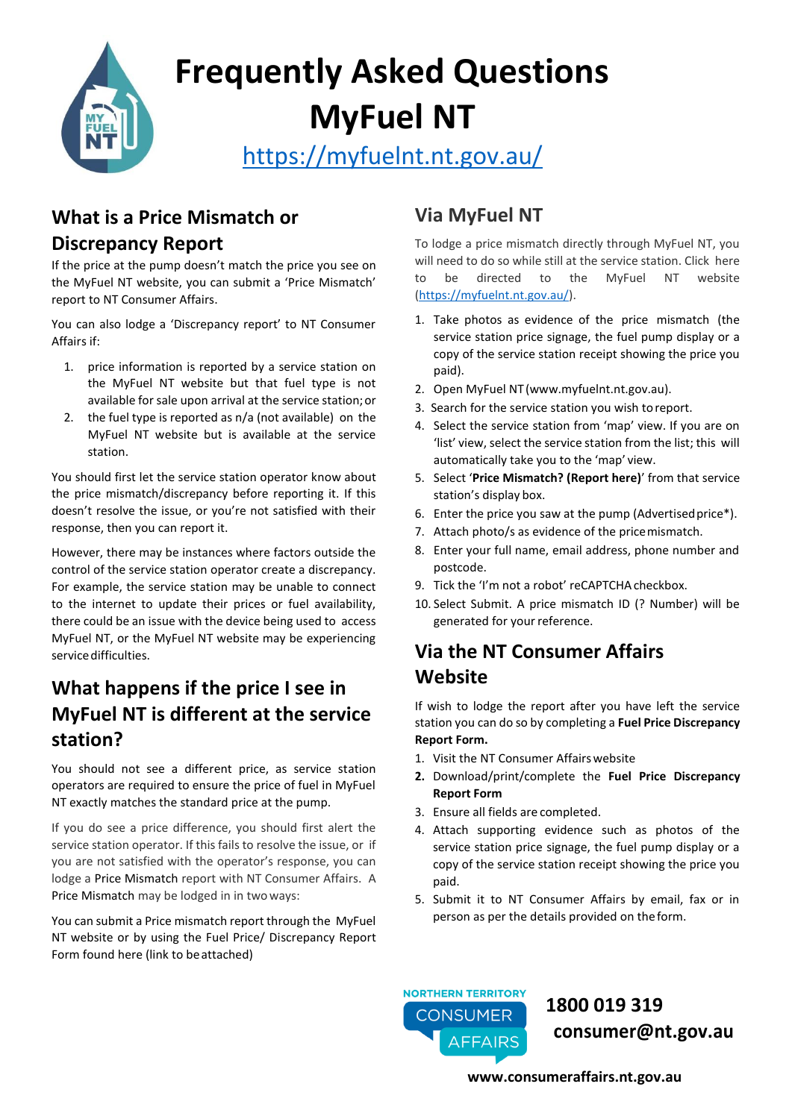

# **Frequently Asked Questions MyFuel NT**

<https://myfuelnt.nt.gov.au/>

#### **What is a Price Mismatch or**

#### **Discrepancy Report**

If the price at the pump doesn't match the price you see on the MyFuel NT website, you can submit a 'Price Mismatch' report to NT Consumer Affairs.

You can also lodge a 'Discrepancy report' to NT Consumer Affairs if:

- 1. price information is reported by a service station on the MyFuel NT website but that fuel type is not available for sale upon arrival at the service station;or
- 2. the fuel type is reported as n/a (not available) on the MyFuel NT website but is available at the service station.

You should first let the service station operator know about the price mismatch/discrepancy before reporting it. If this doesn't resolve the issue, or you're not satisfied with their response, then you can report it.

However, there may be instances where factors outside the control of the service station operator create a discrepancy. For example, the service station may be unable to connect to the internet to update their prices or fuel availability, there could be an issue with the device being used to access MyFuel NT, or the MyFuel NT website may be experiencing service difficulties.

## **What happens if the price I see in MyFuel NT is different at the service station?**

You should not see a different price, as service station operators are required to ensure the price of fuel in MyFuel NT exactly matches the standard price at the pump.

If you do see a price difference, you should first alert the service station operator. If this fails to resolve the issue, or if you are not satisfied with the operator's response, you can lodge a Price Mismatch report with NT Consumer Affairs. A Price Mismatch may be lodged in in twoways:

You can submit a Price mismatch report through the MyFuel NT website or by using the Fuel Price/ Discrepancy Report Form found here (link to beattached)

# **Via MyFuel NT**

To lodge a price mismatch directly through MyFuel NT, you will need to do so while still at the service station. Click here to be directed to the MyFuel NT website [\(https://myfuelnt.nt.gov.au/\)](https://myfuelnt.nt.gov.au/).

- 1. Take photos as evidence of the price mismatch (the service station price signage, the fuel pump display or a copy of the service station receipt showing the price you paid).
- 2. Open MyFuel NT(www.myfuelnt.nt.gov.au).
- 3. Search for the service station you wish toreport.
- 4. Select the service station from 'map' view. If you are on 'list' view, select the service station from the list; this will automatically take you to the 'map' view.
- 5. Select '**Price Mismatch? (Report here)**' from that service station's display box.
- 6. Enter the price you saw at the pump (Advertisedprice\*).
- 7. Attach photo/s as evidence of the pricemismatch.
- 8. Enter your full name, email address, phone number and postcode.
- 9. Tick the 'I'm not a robot' reCAPTCHA checkbox.
- 10. Select Submit. A price mismatch ID (? Number) will be generated for your reference.

# **Via the NT Consumer Affairs Website**

If wish to lodge the report after you have left the service station you can do so by completing a **Fuel Price Discrepancy Report Form.**

- 1. Visit the NT Consumer Affairs website
- **2.** Download/print/complete the **Fuel Price Discrepancy Report Form**
- 3. Ensure all fields are completed.
- 4. Attach supporting evidence such as photos of the service station price signage, the fuel pump display or a copy of the service station receipt showing the price you paid.
- 5. Submit it to NT Consumer Affairs by email, fax or in person as per the details provided on theform.



 **1800 019 319 [consumer@nt.gov.au](mailto:consumer@nt.gov.au)**

**[www.consumeraffairs.nt.gov.au](https://consumeraffairs.nt.gov.au/)**